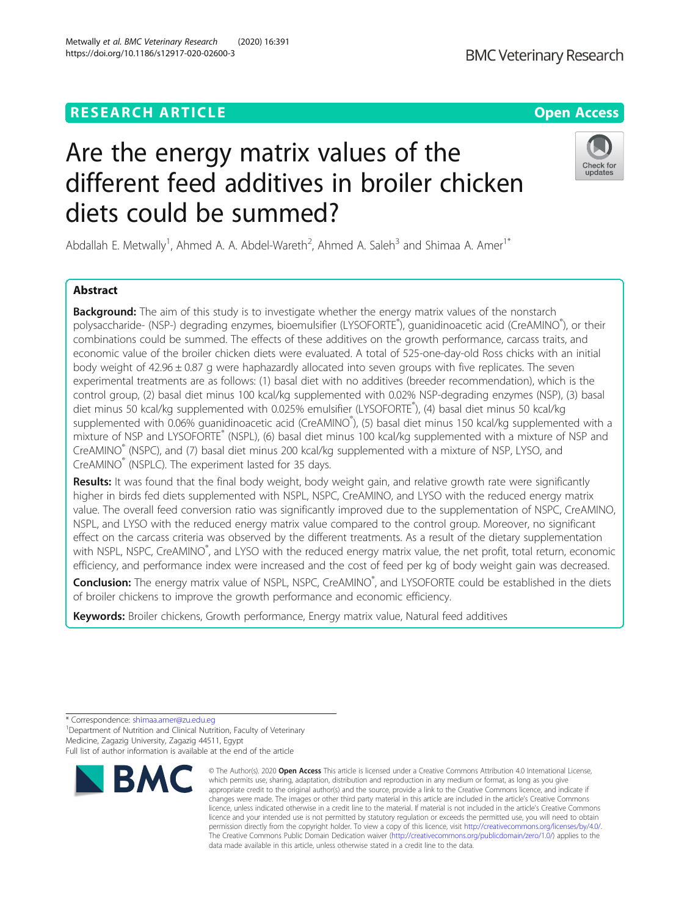# **RESEARCH ARTICLE Example 2014 12:30 The Contract of Contract ACCESS**

# Are the energy matrix values of the different feed additives in broiler chicken diets could be summed?

Abdallah E. Metwally<sup>1</sup>, Ahmed A. A. Abdel-Wareth<sup>2</sup>, Ahmed A. Saleh<sup>3</sup> and Shimaa A. Amer<sup>1\*</sup>

# Abstract

**Background:** The aim of this study is to investigate whether the energy matrix values of the nonstarch polysaccharide- (NSP-) degrading enzymes, bioemulsifier (LYSOFORTE®), guanidinoacetic acid (CreAMINO®), or their combinations could be summed. The effects of these additives on the growth performance, carcass traits, and economic value of the broiler chicken diets were evaluated. A total of 525-one-day-old Ross chicks with an initial body weight of 42.96 ± 0.87 g were haphazardly allocated into seven groups with five replicates. The seven experimental treatments are as follows: (1) basal diet with no additives (breeder recommendation), which is the control group, (2) basal diet minus 100 kcal/kg supplemented with 0.02% NSP-degrading enzymes (NSP), (3) basal diet minus 50 kcal/kg supplemented with 0.025% emulsifier (LYSOFORTE® ), (4) basal diet minus 50 kcal/kg supplemented with 0.06% guanidinoacetic acid (CreAMINO®), (5) basal diet minus 150 kcal/kg supplemented with a mixture of NSP and LYSOFORTE® (NSPL), (6) basal diet minus 100 kcal/kg supplemented with a mixture of NSP and CreAMINO® (NSPC), and (7) basal diet minus 200 kcal/kg supplemented with a mixture of NSP, LYSO, and CreAMINO® (NSPLC). The experiment lasted for 35 days.

Results: It was found that the final body weight, body weight gain, and relative growth rate were significantly higher in birds fed diets supplemented with NSPL, NSPC, CreAMINO, and LYSO with the reduced energy matrix value. The overall feed conversion ratio was significantly improved due to the supplementation of NSPC, CreAMINO, NSPL, and LYSO with the reduced energy matrix value compared to the control group. Moreover, no significant effect on the carcass criteria was observed by the different treatments. As a result of the dietary supplementation with NSPL, NSPC, CreAMINO®, and LYSO with the reduced energy matrix value, the net profit, total return, economic efficiency, and performance index were increased and the cost of feed per kg of body weight gain was decreased.

Conclusion: The energy matrix value of NSPL, NSPC, CreAMINO<sup>®</sup>, and LYSOFORTE could be established in the diets of broiler chickens to improve the growth performance and economic efficiency.

Keywords: Broiler chickens, Growth performance, Energy matrix value, Natural feed additives

\* Correspondence: [shimaa.amer@zu.edu.eg](mailto:shimaa.amer@zu.edu.eg) <sup>1</sup>

**RMC** 

<sup>1</sup> Department of Nutrition and Clinical Nutrition, Faculty of Veterinary Medicine, Zagazig University, Zagazig 44511, Egypt

Full list of author information is available at the end of the article

appropriate credit to the original author(s) and the source, provide a link to the Creative Commons licence, and indicate if changes were made. The images or other third party material in this article are included in the article's Creative Commons licence, unless indicated otherwise in a credit line to the material. If material is not included in the article's Creative Commons licence and your intended use is not permitted by statutory regulation or exceeds the permitted use, you will need to obtain permission directly from the copyright holder. To view a copy of this licence, visit [http://creativecommons.org/licenses/by/4.0/.](http://creativecommons.org/licenses/by/4.0/) The Creative Commons Public Domain Dedication waiver [\(http://creativecommons.org/publicdomain/zero/1.0/](http://creativecommons.org/publicdomain/zero/1.0/)) applies to the data made available in this article, unless otherwise stated in a credit line to the data.

© The Author(s), 2020 **Open Access** This article is licensed under a Creative Commons Attribution 4.0 International License, which permits use, sharing, adaptation, distribution and reproduction in any medium or format, as long as you give



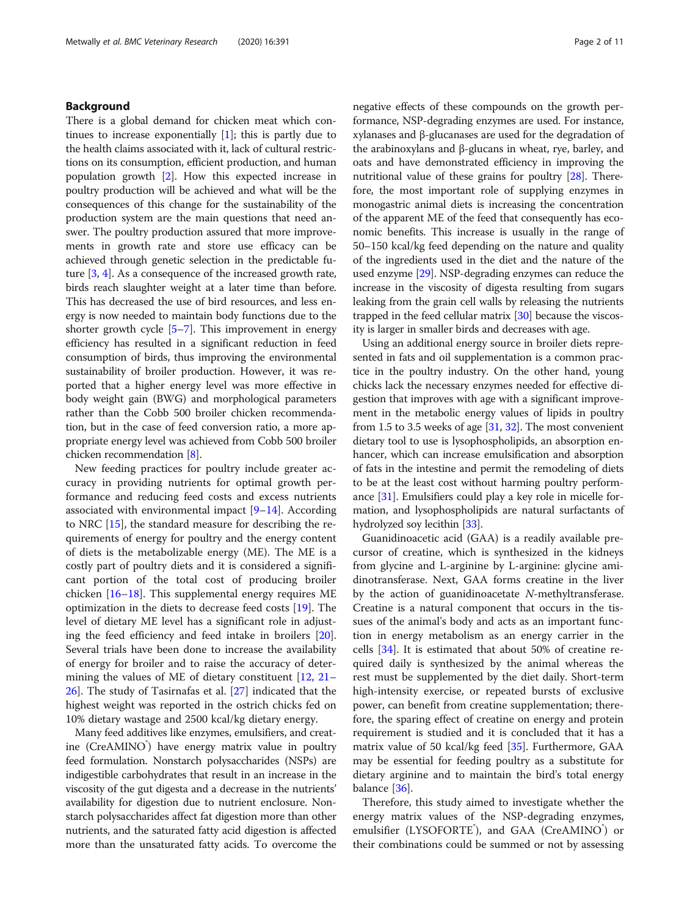# Background

There is a global demand for chicken meat which continues to increase exponentially  $[1]$  $[1]$ ; this is partly due to the health claims associated with it, lack of cultural restrictions on its consumption, efficient production, and human population growth [[2\]](#page-9-0). How this expected increase in poultry production will be achieved and what will be the consequences of this change for the sustainability of the production system are the main questions that need answer. The poultry production assured that more improvements in growth rate and store use efficacy can be achieved through genetic selection in the predictable future [[3,](#page-9-0) [4](#page-9-0)]. As a consequence of the increased growth rate, birds reach slaughter weight at a later time than before. This has decreased the use of bird resources, and less energy is now needed to maintain body functions due to the shorter growth cycle  $[5-7]$  $[5-7]$  $[5-7]$ . This improvement in energy efficiency has resulted in a significant reduction in feed consumption of birds, thus improving the environmental sustainability of broiler production. However, it was reported that a higher energy level was more effective in body weight gain (BWG) and morphological parameters rather than the Cobb 500 broiler chicken recommendation, but in the case of feed conversion ratio, a more appropriate energy level was achieved from Cobb 500 broiler chicken recommendation [\[8](#page-9-0)].

New feeding practices for poultry include greater accuracy in providing nutrients for optimal growth performance and reducing feed costs and excess nutrients associated with environmental impact  $[9-14]$  $[9-14]$  $[9-14]$  $[9-14]$ . According to NRC [\[15](#page-9-0)], the standard measure for describing the requirements of energy for poultry and the energy content of diets is the metabolizable energy (ME). The ME is a costly part of poultry diets and it is considered a significant portion of the total cost of producing broiler chicken [[16](#page-9-0)–[18](#page-9-0)]. This supplemental energy requires ME optimization in the diets to decrease feed costs [\[19\]](#page-9-0). The level of dietary ME level has a significant role in adjusting the feed efficiency and feed intake in broilers [\[20](#page-9-0)]. Several trials have been done to increase the availability of energy for broiler and to raise the accuracy of determining the values of ME of dietary constituent [\[12](#page-9-0), [21](#page-9-0)– [26\]](#page-9-0). The study of Tasirnafas et al. [[27\]](#page-9-0) indicated that the highest weight was reported in the ostrich chicks fed on 10% dietary wastage and 2500 kcal/kg dietary energy.

Many feed additives like enzymes, emulsifiers, and creatine (CreAMINO<sup>®</sup>) have energy matrix value in poultry feed formulation. Nonstarch polysaccharides (NSPs) are indigestible carbohydrates that result in an increase in the viscosity of the gut digesta and a decrease in the nutrients' availability for digestion due to nutrient enclosure. Nonstarch polysaccharides affect fat digestion more than other nutrients, and the saturated fatty acid digestion is affected more than the unsaturated fatty acids. To overcome the negative effects of these compounds on the growth performance, NSP-degrading enzymes are used. For instance, xylanases and β-glucanases are used for the degradation of the arabinoxylans and β-glucans in wheat, rye, barley, and oats and have demonstrated efficiency in improving the nutritional value of these grains for poultry [\[28\]](#page-9-0). Therefore, the most important role of supplying enzymes in monogastric animal diets is increasing the concentration of the apparent ME of the feed that consequently has economic benefits. This increase is usually in the range of 50–150 kcal/kg feed depending on the nature and quality of the ingredients used in the diet and the nature of the used enzyme [\[29\]](#page-9-0). NSP-degrading enzymes can reduce the increase in the viscosity of digesta resulting from sugars leaking from the grain cell walls by releasing the nutrients trapped in the feed cellular matrix [[30](#page-9-0)] because the viscosity is larger in smaller birds and decreases with age.

Using an additional energy source in broiler diets represented in fats and oil supplementation is a common practice in the poultry industry. On the other hand, young chicks lack the necessary enzymes needed for effective digestion that improves with age with a significant improvement in the metabolic energy values of lipids in poultry from 1.5 to 3.5 weeks of age [[31](#page-9-0), [32\]](#page-9-0). The most convenient dietary tool to use is lysophospholipids, an absorption enhancer, which can increase emulsification and absorption of fats in the intestine and permit the remodeling of diets to be at the least cost without harming poultry performance [\[31\]](#page-9-0). Emulsifiers could play a key role in micelle formation, and lysophospholipids are natural surfactants of hydrolyzed soy lecithin [\[33\]](#page-9-0).

Guanidinoacetic acid (GAA) is a readily available precursor of creatine, which is synthesized in the kidneys from glycine and L-arginine by L-arginine: glycine amidinotransferase. Next, GAA forms creatine in the liver by the action of guanidinoacetate N-methyltransferase. Creatine is a natural component that occurs in the tissues of the animal's body and acts as an important function in energy metabolism as an energy carrier in the cells [\[34](#page-9-0)]. It is estimated that about 50% of creatine required daily is synthesized by the animal whereas the rest must be supplemented by the diet daily. Short-term high-intensity exercise, or repeated bursts of exclusive power, can benefit from creatine supplementation; therefore, the sparing effect of creatine on energy and protein requirement is studied and it is concluded that it has a matrix value of 50 kcal/kg feed [\[35\]](#page-9-0). Furthermore, GAA may be essential for feeding poultry as a substitute for dietary arginine and to maintain the bird's total energy balance [[36](#page-9-0)].

Therefore, this study aimed to investigate whether the energy matrix values of the NSP-degrading enzymes, emulsifier (LYSOFORTE<sup>®</sup>), and GAA (CreAMINO<sup>®</sup>) or their combinations could be summed or not by assessing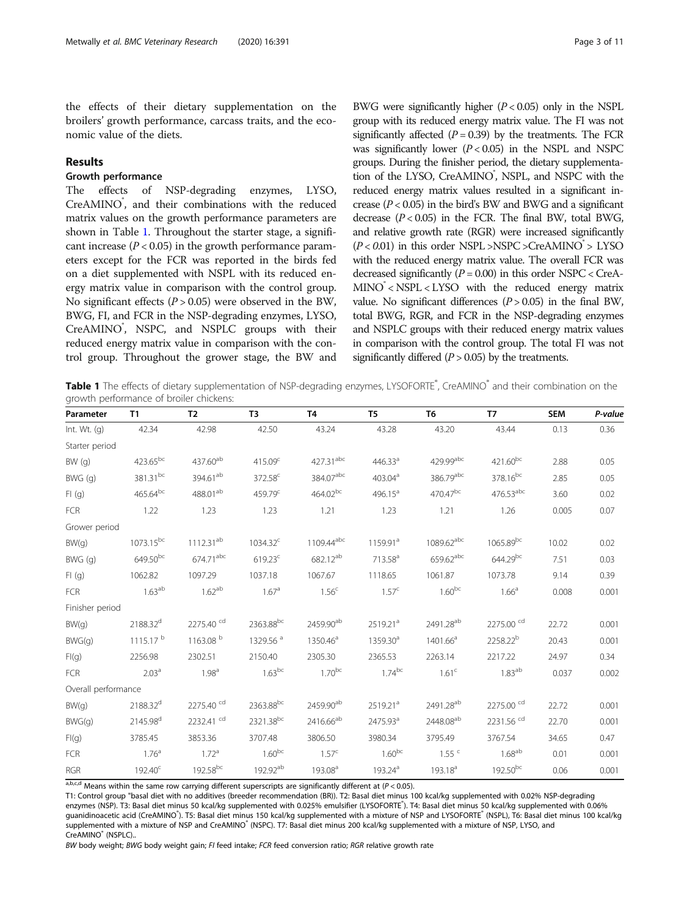the effects of their dietary supplementation on the broilers' growth performance, carcass traits, and the economic value of the diets.

# Results

# Growth performance

The effects of NSP-degrading enzymes, LYSO, CreAMINO<sup>°</sup>, and their combinations with the reduced matrix values on the growth performance parameters are shown in Table 1. Throughout the starter stage, a significant increase  $(P < 0.05)$  in the growth performance parameters except for the FCR was reported in the birds fed on a diet supplemented with NSPL with its reduced energy matrix value in comparison with the control group. No significant effects  $(P > 0.05)$  were observed in the BW, BWG, FI, and FCR in the NSP-degrading enzymes, LYSO, CreAMINO<sup>°</sup>, NSPC, and NSPLC groups with their reduced energy matrix value in comparison with the control group. Throughout the grower stage, the BW and BWG were significantly higher  $(P < 0.05)$  only in the NSPL group with its reduced energy matrix value. The FI was not significantly affected  $(P = 0.39)$  by the treatments. The FCR was significantly lower  $(P < 0.05)$  in the NSPL and NSPC groups. During the finisher period, the dietary supplementation of the LYSO, CreAMINO<sup>°</sup>, NSPL, and NSPC with the reduced energy matrix values resulted in a significant increase ( $P < 0.05$ ) in the bird's BW and BWG and a significant decrease  $(P < 0.05)$  in the FCR. The final BW, total BWG, and relative growth rate (RGR) were increased significantly  $(P < 0.01)$  in this order NSPL >NSPC >CreAMINO > LYSO with the reduced energy matrix value. The overall FCR was decreased significantly  $(P = 0.00)$  in this order NSPC < CreA-MINO<sup>®</sup> < NSPL < LYSO with the reduced energy matrix value. No significant differences  $(P > 0.05)$  in the final BW, total BWG, RGR, and FCR in the NSP-degrading enzymes and NSPLC groups with their reduced energy matrix values in comparison with the control group. The total FI was not significantly differed  $(P > 0.05)$  by the treatments.

Table 1 The effects of dietary supplementation of NSP-degrading enzymes, LYSOFORTE<sup>®</sup>, CreAMINO<sup>®</sup> and their combination on the growth performance of broiler chickens:

| Parameter           | T <sub>1</sub>       | T <sub>2</sub>        | T <sub>3</sub>       | T <sub>4</sub>        | T <sub>5</sub>       | T <sub>6</sub>        | T <sub>7</sub>        | <b>SEM</b> | P-value |
|---------------------|----------------------|-----------------------|----------------------|-----------------------|----------------------|-----------------------|-----------------------|------------|---------|
| Int. Wt. (g)        | 42.34                | 42.98                 | 42.50                | 43.24                 | 43.28                | 43.20                 | 43.44                 | 0.13       | 0.36    |
| Starter period      |                      |                       |                      |                       |                      |                       |                       |            |         |
| BW(q)               | 423.65bc             | 437.60 <sup>ab</sup>  | 415.09 <sup>c</sup>  | 427.31 <sup>abc</sup> | 446.33 <sup>a</sup>  | 429.99abc             | 421.60 <sup>bc</sup>  | 2.88       | 0.05    |
| BWG (g)             | 381.31bc             | 394.61 <sup>ab</sup>  | 372.58 <sup>c</sup>  | 384.07abc             | 403.04 <sup>a</sup>  | 386.79abc             | 378.16bc              | 2.85       | 0.05    |
| FI(g)               | 465.64bc             | 488.01ab              | 459.79 <sup>c</sup>  | $464.02^{bc}$         | $496.15^a$           | 470.47bc              | 476.53abc             | 3.60       | 0.02    |
| FCR                 | 1.22                 | 1.23                  | 1.23                 | 1.21                  | 1.23                 | 1.21                  | 1.26                  | 0.005      | 0.07    |
| Grower period       |                      |                       |                      |                       |                      |                       |                       |            |         |
| BW(q)               | 1073.15bc            | 1112.31 <sup>ab</sup> | $1034.32^{\circ}$    | 1109.44abc            | 1159.91 <sup>a</sup> | 1089.62abc            | 1065.89 <sup>bc</sup> | 10.02      | 0.02    |
| BWG (g)             | 649.50bc             | 674.71 <sup>abc</sup> | $619.23^c$           | 682.12 <sup>ab</sup>  | 713.58 <sup>a</sup>  | 659.62abc             | 644.29bc              | 7.51       | 0.03    |
| FI(g)               | 1062.82              | 1097.29               | 1037.18              | 1067.67               | 1118.65              | 1061.87               | 1073.78               | 9.14       | 0.39    |
| <b>FCR</b>          | $1.63^{ab}$          | $1.62^{ab}$           | 1.67 <sup>a</sup>    | 1.56 <sup>c</sup>     | $1.57^{\circ}$       | $1.60^{bc}$           | 1.66 <sup>a</sup>     | 0.008      | 0.001   |
| Finisher period     |                      |                       |                      |                       |                      |                       |                       |            |         |
| BW(g)               | 2188.32 <sup>d</sup> | 2275.40 <sup>cd</sup> | 2363.88bc            | 2459.90 <sup>ab</sup> | 2519.21 <sup>a</sup> | 2491.28 <sup>ab</sup> | 2275.00 cd            | 22.72      | 0.001   |
| BWG(g)              | 1115.17 <sup>b</sup> | 1163.08 b             | 1329.56 <sup>a</sup> | 1350.46 <sup>a</sup>  | 1359.30 <sup>a</sup> | $1401.66^a$           | 2258.22 <sup>b</sup>  | 20.43      | 0.001   |
| FI(g)               | 2256.98              | 2302.51               | 2150.40              | 2305.30               | 2365.53              | 2263.14               | 2217.22               | 24.97      | 0.34    |
| <b>FCR</b>          | 2.03 <sup>a</sup>    | 1.98 <sup>a</sup>     | $1.63$ <sub>bc</sub> | $1.70^{bc}$           | $1.74^{bc}$          | 1.61 <sup>c</sup>     | 1.83 <sup>ab</sup>    | 0.037      | 0.002   |
| Overall performance |                      |                       |                      |                       |                      |                       |                       |            |         |
| BW(q)               | 2188.32 <sup>d</sup> | 2275.40 <sup>cd</sup> | 2363.88bc            | 2459.90 <sup>ab</sup> | 2519.21 <sup>a</sup> | 2491.28 <sup>ab</sup> | 2275.00 cd            | 22.72      | 0.001   |
| BWG(g)              | 2145.98 <sup>d</sup> | 2232.41 <sup>cd</sup> | 2321.38bc            | 2416.66 <sup>ab</sup> | 2475.93 <sup>a</sup> | 2448.08 <sup>ab</sup> | 2231.56 <sup>cd</sup> | 22.70      | 0.001   |
| FI(g)               | 3785.45              | 3853.36               | 3707.48              | 3806.50               | 3980.34              | 3795.49               | 3767.54               | 34.65      | 0.47    |
| <b>FCR</b>          | 1.76 <sup>a</sup>    | 1.72 <sup>a</sup>     | $1.60^{bc}$          | $1.57^{c}$            | $1.60^{bc}$          | 1.55                  | $1.68^{ab}$           | 0.01       | 0.001   |
| <b>RGR</b>          | 192.40 <sup>c</sup>  | 192.58bc              | 192.92ab             | 193.08 <sup>a</sup>   | 193.24 <sup>a</sup>  | 193.18 <sup>a</sup>   | 192.50bc              | 0.06       | 0.001   |

 $a,b,c,d$  Means within the same row carrying different superscripts are significantly different at ( $P < 0.05$ ).

T1: Control group "basal diet with no additives (breeder recommendation (BR)). T2: Basal diet minus 100 kcal/kg supplemented with 0.02% NSP-degrading enzymes (NSP). T3: Basal diet minus 50 kcal/kg supplemented with 0.025% emulsifier (LYSOFORTE<sup>®</sup>). T4: Basal diet minus 50 kcal/kg supplemented with 0.06% guanidinoacetic acid (CreAMINO<sup>®</sup>). T5: Basal diet minus 150 kcal/kg supplemented with a mixture of NSP and LYSOFORTE® (NSPL), T6: Basal diet minus 100 kcal/kg supplemented with a mixture of NSP and CreAMINO<sup>®</sup> (NSPC). T7: Basal diet minus 200 kcal/kg supplemented with a mixture of NSP, LYSO, and CreAMINO® (NSPLC)..

BW body weight; BWG body weight gain; FI feed intake; FCR feed conversion ratio; RGR relative growth rate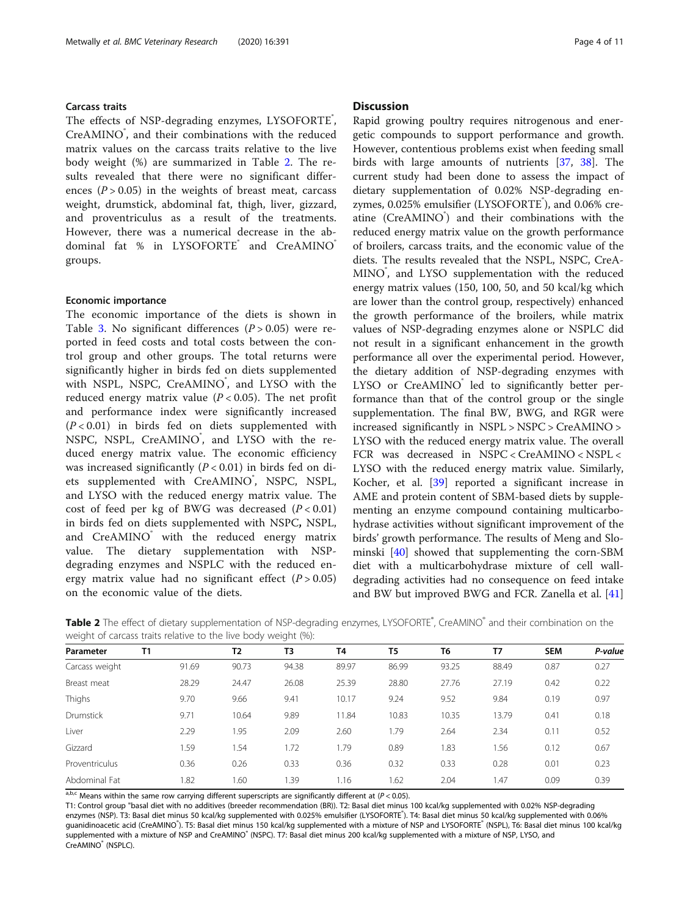# Carcass traits

The effects of NSP-degrading enzymes, LYSOFORTE<sup>®</sup>, CreAMINO<sup>®</sup>, and their combinations with the reduced matrix values on the carcass traits relative to the live body weight (%) are summarized in Table 2. The results revealed that there were no significant differences ( $P > 0.05$ ) in the weights of breast meat, carcass weight, drumstick, abdominal fat, thigh, liver, gizzard, and proventriculus as a result of the treatments. However, there was a numerical decrease in the abdominal fat % in LYSOFORTE<sup>®</sup> and CreAMINO<sup>®</sup> groups.

#### Economic importance

The economic importance of the diets is shown in Table [3.](#page-4-0) No significant differences  $(P > 0.05)$  were reported in feed costs and total costs between the control group and other groups. The total returns were significantly higher in birds fed on diets supplemented with NSPL, NSPC, CreAMINO<sup>\*</sup>, and LYSO with the reduced energy matrix value ( $P < 0.05$ ). The net profit and performance index were significantly increased  $(P < 0.01)$  in birds fed on diets supplemented with NSPC, NSPL, CreAMINO<sup>°</sup>, and LYSO with the reduced energy matrix value. The economic efficiency was increased significantly  $(P < 0.01)$  in birds fed on diets supplemented with CreAMINO<sup>°</sup>, NSPC, NSPL, and LYSO with the reduced energy matrix value. The cost of feed per kg of BWG was decreased  $(P < 0.01)$ in birds fed on diets supplemented with NSPC, NSPL, and CreAMINO with the reduced energy matrix value. The dietary supplementation with NSPdegrading enzymes and NSPLC with the reduced energy matrix value had no significant effect  $(P > 0.05)$ on the economic value of the diets.

# **Discussion**

Rapid growing poultry requires nitrogenous and energetic compounds to support performance and growth. However, contentious problems exist when feeding small birds with large amounts of nutrients [[37,](#page-9-0) [38\]](#page-9-0). The current study had been done to assess the impact of dietary supplementation of 0.02% NSP-degrading enzymes, 0.025% emulsifier (LYSOFORTE<sup>®</sup>), and 0.06% creatine (CreAMINO<sup>®</sup>) and their combinations with the reduced energy matrix value on the growth performance of broilers, carcass traits, and the economic value of the diets. The results revealed that the NSPL, NSPC, CreA-MINO<sup>®</sup>, and LYSO supplementation with the reduced energy matrix values (150, 100, 50, and 50 kcal/kg which are lower than the control group, respectively) enhanced the growth performance of the broilers, while matrix values of NSP-degrading enzymes alone or NSPLC did not result in a significant enhancement in the growth performance all over the experimental period. However, the dietary addition of NSP-degrading enzymes with LYSO or CreAMINO<sup>®</sup> led to significantly better performance than that of the control group or the single supplementation. The final BW, BWG, and RGR were increased significantly in NSPL > NSPC > CreAMINO > LYSO with the reduced energy matrix value. The overall FCR was decreased in NSPC < CreAMINO < NSPL < LYSO with the reduced energy matrix value. Similarly, Kocher, et al. [[39\]](#page-9-0) reported a significant increase in AME and protein content of SBM-based diets by supplementing an enzyme compound containing multicarbohydrase activities without significant improvement of the birds' growth performance. The results of Meng and Slominski [[40\]](#page-9-0) showed that supplementing the corn-SBM diet with a multicarbohydrase mixture of cell walldegrading activities had no consequence on feed intake and BW but improved BWG and FCR. Zanella et al. [[41](#page-9-0)]

| <i>VICIUITE OF CALCASS LIGILS FORLIVE TO THE HVE DOUY VICIUITE (70).</i> |    |       |       |       |       |       |                |       |            |         |
|--------------------------------------------------------------------------|----|-------|-------|-------|-------|-------|----------------|-------|------------|---------|
| Parameter                                                                | T1 |       | Т2    | T3    | T4    | T5    | T <sub>6</sub> | T7    | <b>SEM</b> | P-value |
| Carcass weight                                                           |    | 91.69 | 90.73 | 94.38 | 89.97 | 86.99 | 93.25          | 88.49 | 0.87       | 0.27    |
| Breast meat                                                              |    | 28.29 | 24.47 | 26.08 | 25.39 | 28.80 | 27.76          | 27.19 | 0.42       | 0.22    |
| Thighs                                                                   |    | 9.70  | 9.66  | 9.41  | 10.17 | 9.24  | 9.52           | 9.84  | 0.19       | 0.97    |
| Drumstick                                                                |    | 9.71  | 10.64 | 9.89  | 1.84  | 10.83 | 10.35          | 13.79 | 0.41       | 0.18    |
| Liver                                                                    |    | 2.29  | 1.95  | 2.09  | 2.60  | 1.79  | 2.64           | 2.34  | 0.11       | 0.52    |
| Gizzard                                                                  |    | 1.59  | 1.54  | 1.72  | .79   | 0.89  | 1.83           | 1.56  | 0.12       | 0.67    |
| Proventriculus                                                           |    | 0.36  | 0.26  | 0.33  | 0.36  | 0.32  | 0.33           | 0.28  | 0.01       | 0.23    |
| Abdominal Fat                                                            |    | 1.82  | .60   | .39   | 1.16  | 1.62  | 2.04           | 1.47  | 0.09       | 0.39    |

Table 2 The effect of dietary supplementation of NSP-degrading enzymes, LYSOFORTE<sup>®</sup>, CreAMINO<sup>®</sup> and their combination on the weight of carcass traits relative to the live body weight (%):

 $a,b,c$  Means within the same row carrying different superscripts are significantly different at (P < 0.05)

T1: Control group "basal diet with no additives (breeder recommendation (BR)). T2: Basal diet minus 100 kcal/kg supplemented with 0.02% NSP-degrading enzymes (NSP). T3: Basal diet minus 50 kcal/kg supplemented with 0.025% emulsifier (LYSOFORTE<sup>\*</sup>). T4: Basal diet minus 50 kcal/kg supplemented with 0.06% guanidinoacetic acid (CreAMINO<sup>®</sup>). T5: Basal diet minus 150 kcal/kg supplemented with a mixture of NSP and LYSOFORTE® (NSPL), T6: Basal diet minus 100 kcal/kg supplemented with a mixture of NSP and CreAMINO<sup>®</sup> (NSPC). T7: Basal diet minus 200 kcal/kg supplemented with a mixture of NSP, LYSO, and CreAMINO® (NSPLC).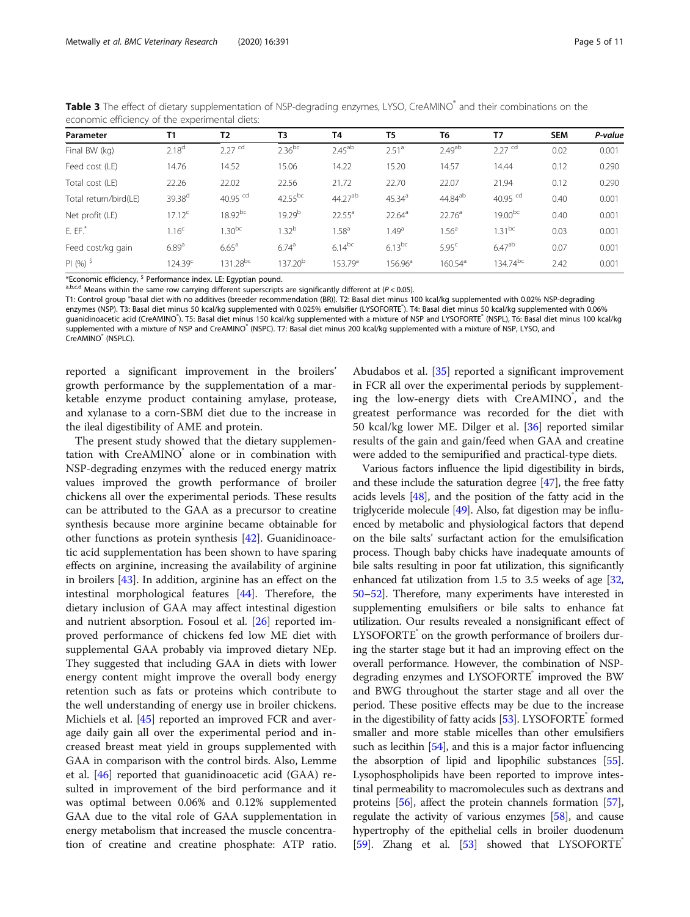| CCONDITIIC CHICICITCY OF THE CAPERINICHTON GILLS. |                     |                      |                     |                     |                    |                     |                      |            |         |
|---------------------------------------------------|---------------------|----------------------|---------------------|---------------------|--------------------|---------------------|----------------------|------------|---------|
| Parameter                                         | Τ1                  | T <sub>2</sub>       | T3                  | T <sub>4</sub>      | T <sub>5</sub>     | T6                  | T7                   | <b>SEM</b> | P-value |
| Final BW (kg)                                     | 2.18 <sup>d</sup>   | $2.27$ <sup>cd</sup> | $2.36^{bc}$         | $2.45^{ab}$         | 2.51 <sup>a</sup>  | 2.49 <sup>ab</sup>  | $2.27$ <sup>cd</sup> | 0.02       | 0.001   |
| Feed cost (LE)                                    | 14.76               | 14.52                | 15.06               | 14.22               | 15.20              | 14.57               | 14.44                | 0.12       | 0.290   |
| Total cost (LE)                                   | 22.26               | 22.02                | 22.56               | 21.72               | 22.70              | 22.07               | 21.94                | 0.12       | 0.290   |
| Total return/bird(LE)                             | 39.38 <sup>d</sup>  | 40.95 $cd$           | $42.55^{bc}$        | 44.27 <sup>ab</sup> | 45.34 <sup>a</sup> | $44.84^{ab}$        | 40.95 $cd$           | 0.40       | 0.001   |
| Net profit (LE)                                   | $17.12^c$           | $18.92^{bc}$         | 19.29 <sup>b</sup>  | $22.55^a$           | 22.64 <sup>a</sup> | 22.76 <sup>a</sup>  | $19.00^{bc}$         | 0.40       | 0.001   |
| E. EF.                                            | 1.16 <sup>c</sup>   | $1.30^{bc}$          | $1.32^{b}$          | $1.58^{a}$          | 1.49 <sup>a</sup>  | 1.56 <sup>a</sup>   | $1.31^{bc}$          | 0.03       | 0.001   |
| Feed cost/kg gain                                 | 6.89 <sup>a</sup>   | $6.65^{\circ}$       | 6.74 <sup>a</sup>   | $6.14^{bc}$         | $6.13^{bc}$        | $5.95^{\circ}$      | 6.47 <sup>ab</sup>   | 0.07       | 0.001   |
| PI $(96)^5$                                       | 124.39 <sup>c</sup> | $131.28^{bc}$        | 137.20 <sup>b</sup> | 153.79 <sup>a</sup> | $156.96^{\circ}$   | 160.54 <sup>a</sup> | $134.74^{bc}$        | 2.42       | 0.001   |

<span id="page-4-0"></span>Table 3 The effect of dietary supplementation of NSP-degrading enzymes, LYSO, CreAMINO® and their combinations on the economic efficiency of the experimental diets:

\*Economic efficiency,  $\frac{1}{2}$  Performance index. LE: Egyptian pound.<br>a,b,c,d Means within the same row carrying different superscripts are significantly different at (P < 0.05).

T1: Control group "basal diet with no additives (breeder recommendation (BR)). T2: Basal diet minus 100 kcal/kg supplemented with 0.02% NSP-degrading enzymes (NSP). T3: Basal diet minus 50 kcal/kg supplemented with 0.025% emulsifier (LYSOFORTE<sup>\*</sup>). T4: Basal diet minus 50 kcal/kg supplemented with 0.06% guanidinoacetic acid (CreAMINO<sup>\*</sup>). T5: Basal diet minus 150 kcal/kg supplemented with a mixture of NSP and LYSOFORTE<sup>\*</sup> (NSPL), T6: Basal diet minus 100 kcal/kg supplemented with a mixture of NSP and CreAMINO<sup>®</sup> (NSPC). T7: Basal diet minus 200 kcal/kg supplemented with a mixture of NSP, LYSO, and CreAMINO® (NSPLC).

reported a significant improvement in the broilers' growth performance by the supplementation of a marketable enzyme product containing amylase, protease, and xylanase to a corn-SBM diet due to the increase in the ileal digestibility of AME and protein.

The present study showed that the dietary supplementation with CreAMINO alone or in combination with NSP-degrading enzymes with the reduced energy matrix values improved the growth performance of broiler chickens all over the experimental periods. These results can be attributed to the GAA as a precursor to creatine synthesis because more arginine became obtainable for other functions as protein synthesis [[42\]](#page-9-0). Guanidinoacetic acid supplementation has been shown to have sparing effects on arginine, increasing the availability of arginine in broilers [[43\]](#page-10-0). In addition, arginine has an effect on the intestinal morphological features [\[44](#page-10-0)]. Therefore, the dietary inclusion of GAA may affect intestinal digestion and nutrient absorption. Fosoul et al. [[26](#page-9-0)] reported improved performance of chickens fed low ME diet with supplemental GAA probably via improved dietary NEp. They suggested that including GAA in diets with lower energy content might improve the overall body energy retention such as fats or proteins which contribute to the well understanding of energy use in broiler chickens. Michiels et al. [\[45\]](#page-10-0) reported an improved FCR and average daily gain all over the experimental period and increased breast meat yield in groups supplemented with GAA in comparison with the control birds. Also, Lemme et al. [\[46\]](#page-10-0) reported that guanidinoacetic acid (GAA) resulted in improvement of the bird performance and it was optimal between 0.06% and 0.12% supplemented GAA due to the vital role of GAA supplementation in energy metabolism that increased the muscle concentration of creatine and creatine phosphate: ATP ratio.

Abudabos et al. [[35\]](#page-9-0) reported a significant improvement in FCR all over the experimental periods by supplementing the low-energy diets with CreAMINO<sup>°</sup>, and the greatest performance was recorded for the diet with 50 kcal/kg lower ME. Dilger et al. [\[36](#page-9-0)] reported similar results of the gain and gain/feed when GAA and creatine were added to the semipurified and practical-type diets.

Various factors influence the lipid digestibility in birds, and these include the saturation degree [\[47](#page-10-0)], the free fatty acids levels [[48](#page-10-0)], and the position of the fatty acid in the triglyceride molecule [[49](#page-10-0)]. Also, fat digestion may be influenced by metabolic and physiological factors that depend on the bile salts' surfactant action for the emulsification process. Though baby chicks have inadequate amounts of bile salts resulting in poor fat utilization, this significantly enhanced fat utilization from  $1.5$  to  $3.5$  weeks of age  $[32, 1]$  $[32, 1]$  $[32, 1]$ [50](#page-10-0)–[52\]](#page-10-0). Therefore, many experiments have interested in supplementing emulsifiers or bile salts to enhance fat utilization. Our results revealed a nonsignificant effect of LYSOFORTE<sup>®</sup> on the growth performance of broilers during the starter stage but it had an improving effect on the overall performance. However, the combination of NSPdegrading enzymes and LYSOFORTE<sup>®</sup> improved the BW and BWG throughout the starter stage and all over the period. These positive effects may be due to the increase in the digestibility of fatty acids [[53](#page-10-0)]. LYSOFORTE<sup>®</sup> formed smaller and more stable micelles than other emulsifiers such as lecithin [[54](#page-10-0)], and this is a major factor influencing the absorption of lipid and lipophilic substances [[55](#page-10-0)]. Lysophospholipids have been reported to improve intestinal permeability to macromolecules such as dextrans and proteins [\[56\]](#page-10-0), affect the protein channels formation [[57](#page-10-0)], regulate the activity of various enzymes  $[58]$ , and cause hypertrophy of the epithelial cells in broiler duodenum [[59](#page-10-0)]. Zhang et al.  $[53]$  $[53]$  $[53]$  showed that LYSOFORTE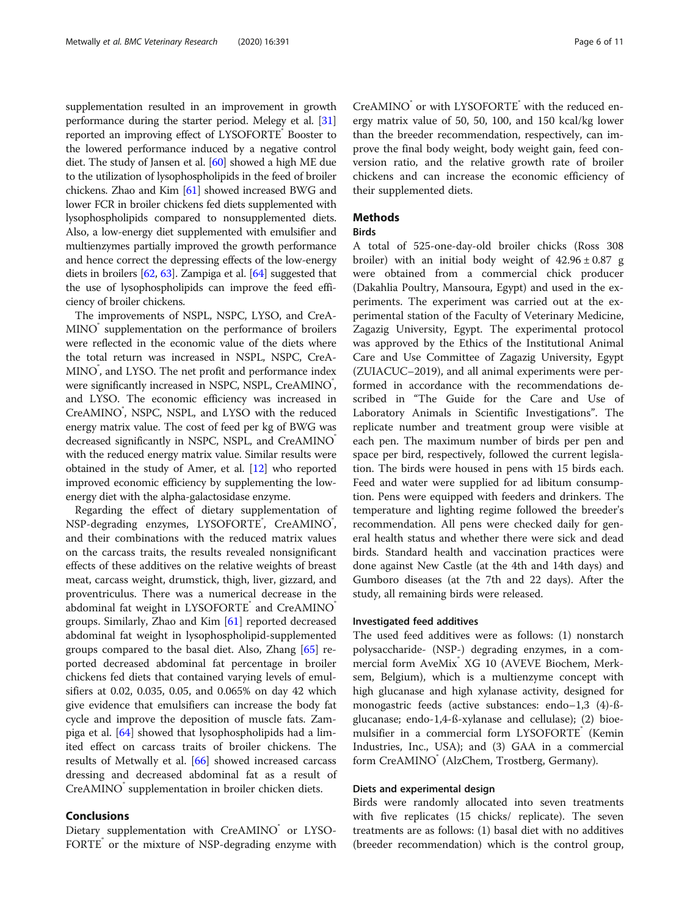supplementation resulted in an improvement in growth performance during the starter period. Melegy et al. [[31](#page-9-0)] reported an improving effect of LYSOFORTE<sup>®</sup> Booster to the lowered performance induced by a negative control diet. The study of Jansen et al. [\[60\]](#page-10-0) showed a high ME due to the utilization of lysophospholipids in the feed of broiler chickens. Zhao and Kim [[61](#page-10-0)] showed increased BWG and lower FCR in broiler chickens fed diets supplemented with lysophospholipids compared to nonsupplemented diets. Also, a low-energy diet supplemented with emulsifier and multienzymes partially improved the growth performance and hence correct the depressing effects of the low-energy diets in broilers [\[62,](#page-10-0) [63](#page-10-0)]. Zampiga et al. [\[64\]](#page-10-0) suggested that the use of lysophospholipids can improve the feed efficiency of broiler chickens.

The improvements of NSPL, NSPC, LYSO, and CreA-MINO<sup>®</sup> supplementation on the performance of broilers were reflected in the economic value of the diets where the total return was increased in NSPL, NSPC, CreA-MINO<sup>°</sup>, and LYSO. The net profit and performance index were significantly increased in NSPC, NSPL, CreAMINO<sup>°</sup>, and LYSO. The economic efficiency was increased in CreAMINO<sup>°</sup>, NSPC, NSPL, and LYSO with the reduced energy matrix value. The cost of feed per kg of BWG was decreased significantly in NSPC, NSPL, and CreAMINO® with the reduced energy matrix value. Similar results were obtained in the study of Amer, et al. [\[12\]](#page-9-0) who reported improved economic efficiency by supplementing the lowenergy diet with the alpha-galactosidase enzyme.

Regarding the effect of dietary supplementation of NSP-degrading enzymes, LYSOFORTE<sup>®</sup>, CreAMINO<sup>®</sup>, and their combinations with the reduced matrix values on the carcass traits, the results revealed nonsignificant effects of these additives on the relative weights of breast meat, carcass weight, drumstick, thigh, liver, gizzard, and proventriculus. There was a numerical decrease in the abdominal fat weight in LYSOFORTE® and CreAMINO® groups. Similarly, Zhao and Kim [[61](#page-10-0)] reported decreased abdominal fat weight in lysophospholipid-supplemented groups compared to the basal diet. Also, Zhang [\[65](#page-10-0)] reported decreased abdominal fat percentage in broiler chickens fed diets that contained varying levels of emulsifiers at 0.02, 0.035, 0.05, and 0.065% on day 42 which give evidence that emulsifiers can increase the body fat cycle and improve the deposition of muscle fats. Zampiga et al. [[64\]](#page-10-0) showed that lysophospholipids had a limited effect on carcass traits of broiler chickens. The results of Metwally et al. [\[66\]](#page-10-0) showed increased carcass dressing and decreased abdominal fat as a result of CreAMINO<sup>®</sup> supplementation in broiler chicken diets.

# Conclusions

Dietary supplementation with CreAMINO or LYSO-FORTE or the mixture of NSP-degrading enzyme with

CreAMINO<sup>®</sup> or with LYSOFORTE<sup>®</sup> with the reduced energy matrix value of 50, 50, 100, and 150 kcal/kg lower than the breeder recommendation, respectively, can improve the final body weight, body weight gain, feed conversion ratio, and the relative growth rate of broiler chickens and can increase the economic efficiency of their supplemented diets.

# **Methods**

# Birds

A total of 525-one-day-old broiler chicks (Ross 308 broiler) with an initial body weight of  $42.96 \pm 0.87$  g were obtained from a commercial chick producer (Dakahlia Poultry, Mansoura, Egypt) and used in the experiments. The experiment was carried out at the experimental station of the Faculty of Veterinary Medicine, Zagazig University, Egypt. The experimental protocol was approved by the Ethics of the Institutional Animal Care and Use Committee of Zagazig University, Egypt (ZUIACUC–2019), and all animal experiments were performed in accordance with the recommendations described in "The Guide for the Care and Use of Laboratory Animals in Scientific Investigations". The replicate number and treatment group were visible at each pen. The maximum number of birds per pen and space per bird, respectively, followed the current legislation. The birds were housed in pens with 15 birds each. Feed and water were supplied for ad libitum consumption. Pens were equipped with feeders and drinkers. The temperature and lighting regime followed the breeder's recommendation. All pens were checked daily for general health status and whether there were sick and dead birds. Standard health and vaccination practices were done against New Castle (at the 4th and 14th days) and Gumboro diseases (at the 7th and 22 days). After the study, all remaining birds were released.

#### Investigated feed additives

The used feed additives were as follows: (1) nonstarch polysaccharide- (NSP-) degrading enzymes, in a commercial form AveMix® XG 10 (AVEVE Biochem, Merksem, Belgium), which is a multienzyme concept with high glucanase and high xylanase activity, designed for monogastric feeds (active substances: endo–1,3 (4)-ßglucanase; endo-1,4-ß-xylanase and cellulase); (2) bioemulsifier in a commercial form LYSOFORTE® (Kemin Industries, Inc., USA); and (3) GAA in a commercial form CreAMINO (AlzChem, Trostberg, Germany).

# Diets and experimental design

Birds were randomly allocated into seven treatments with five replicates (15 chicks/ replicate). The seven treatments are as follows: (1) basal diet with no additives (breeder recommendation) which is the control group,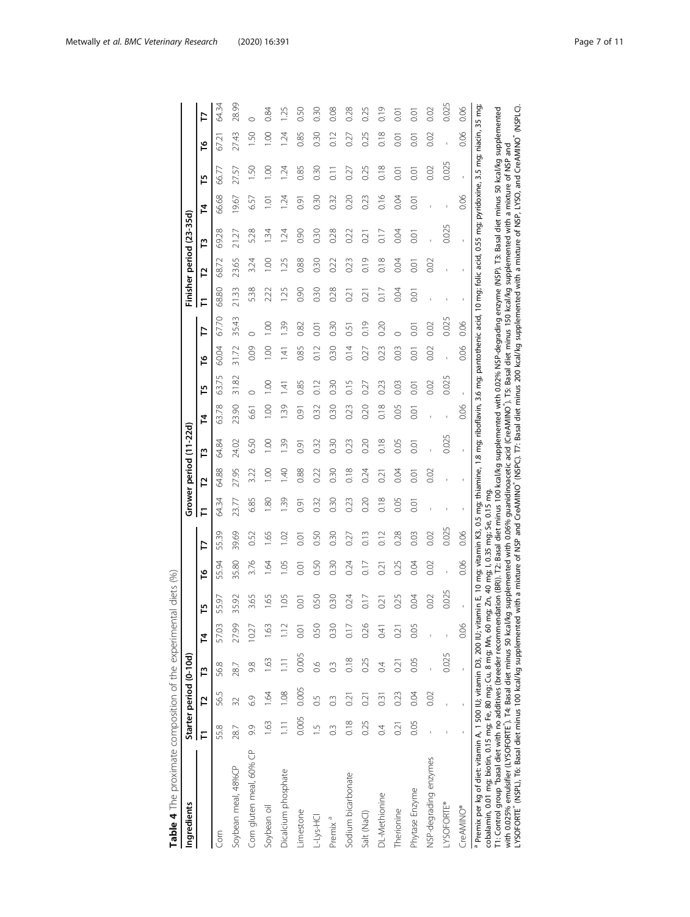<span id="page-6-0"></span>

| Ingredients                       | Starter period (0-10d) |               |                  |                |       |                |                |       |               |                |                  |         |                 |       |               | Finisher period (23-35d) |                 |                  |                 |                  | F       |
|-----------------------------------|------------------------|---------------|------------------|----------------|-------|----------------|----------------|-------|---------------|----------------|------------------|---------|-----------------|-------|---------------|--------------------------|-----------------|------------------|-----------------|------------------|---------|
| F                                 |                        | Ľ<br>51       | 74               | 15             | م     | F              |                | F     | 5             | Ľ              | 14               | 15      | ٩               | F     | F             | 5                        | Ë               | 4                | 15              | ٩                |         |
| 55.8<br>Corn                      |                        | 56.5          | 56.8             | 55.97<br>57.03 |       | 55.94          | 55.39          | 64.34 | 64.88         | 64.84          | 63.78            | 63.75   | 60.04           | 67.70 | 68.80         | 68.72                    | 69.28           | 66.68            | 66.77           | 67.21            | 64.34   |
| 28.7<br>Soybean meal, 48%CP       |                        | 32            | 28.7             | 27.99          | 35.92 | 85.80          | 39.69          | 23.77 | 27.95         | 24.02          | 23.90            | 31.82   | 31.72           | 35.43 | 21.33         | 23.65                    | 21.27           | 19.67            | 27.57           | 27.43            | 28.99   |
| 9.9<br>Corn gluten meal, 60% CP   |                        | 6.9           | 9.8              | 10.27          | 3.65  | 3.76           | 0.52           | 6.85  | 3.22          | 6.50           | 6.61             | Ó       | 0.09            | c     | 5.38          | 3.24                     | 5.28            | 6.57             | S.              | 1.50             | $\circ$ |
| Soybean oil                       | $\frac{63}{2}$         | 19.           | 1.63             | 1.63           | 65    | 1.64           | 65             | 80    | $\frac{8}{1}$ | $\overline{5}$ | 00.1             | $\odot$ | $\frac{8}{100}$ | S     | 2.22          | 00.1                     | $\overline{34}$ | $\Xi$            | $\odot$         | 00.1             | 0.84    |
| Dicalcium phosphate               | $\Xi$                  | 108           | $\Xi$            | 1.12           | 95    | 1.05           | $\overline{0}$ | εć.   | 1.40          | 39             | 39               | 4,      | $\overline{14}$ | 39    | 1.25          | $\frac{25}{2}$           | 24              | $\dot{z}$        | $\overline{24}$ | 1.24             | 1.25    |
| Limestone                         | 0.005                  | 0.005         | 0.005            | 0.01           | ō.o   | $\overline{0}$ | 0.01           | 0.91  | 0.88          | 0.91           | $\overline{0.9}$ | 0.85    | 0.85            | 0.82  | 0.90          | 0.88                     | 8.0             | $\overline{0.9}$ | 0.85            | 0.85             | 0.50    |
| $\frac{5}{1}$<br>L-Lys-HCl        |                        | $\frac{5}{2}$ | $\frac{6}{10}$   | 0.50           | 0.50  | 0.50           | 0.50           | 0.32  | 0.22          | 0.32           | 0.32             | 0.12    | 0.12            | 0.01  | 0.30          | 0.30                     | 0.30            | 0.30             | 0.30            | 0.30             | 0.30    |
| 0.3<br>Premix <sup>a</sup>        |                        | $\frac{3}{2}$ | $0.\overline{3}$ | 0.30           | 0.30  | 0.30           | 0.30           | 0.30  | 0.30          | 0.30           | 0.30             | 0.30    | 0.30            | 0.30  | 0.28          | 0.22                     | 0.28            | 0.32             | Ξ               | 0.12             | 0.08    |
| Sodium bicarbonate                | 0.18                   | 0.21          | 0.18             | 0.17           | 0.24  | 0.24           | 027            | 0.23  | 0.18          | 0.23           | 0.23             | 0.15    | 0.14            | 0.51  | 0.21          | 0.23                     | 0.22            | 0.20             | 0.27            | $\overline{0.2}$ | 0.28    |
| Salt (NaCl)                       | 0.25                   | 0.21          | 0.25             | 0.26           | 0.17  | 0.17           | 0.13           | 0.20  | 0.24          | 0.20           | 0.20             | 0.27    | 0.27            | 0.19  | 0.21          | 0.19                     | 0.21            | 0.23             | 0.25            | 0.25             | 0.25    |
| $\overline{0.4}$<br>DL-Methionine |                        | 031           | $\ddot{\circ}$   | 0.41           | 0.21  | 0.21           | 0.12           | 0.18  | 0.21          | 0.18           | 0.18             | 0.23    | 0.23            | 0.20  | $\frac{1}{2}$ | 0.18                     | 0.17            | 0.16             | 0.18            | 0.18             | 0.19    |
| ĊO<br>Therionine                  |                        | 0.23          | 0.21             | 0.21           | 0.25  | 0.25           | 0.28           | 0.05  | 0.04          | 0.05           | 0.05             | 0.03    | 0.03            |       | 0.04          | 0.04                     | 0.04            | 0.04             | 0.01            | $\overline{0}$   | ōo      |
| Phytase Enzyme                    | 0.05                   | 0.04          | 0.05             | 0.05           | 0.04  | 0.04           | 0.03           | 0.01  | 0.01          | 0.01           | 0.01             | 0.01    | 0.01            | ā     | 0.01          | 0.OT                     | 0.01            | $\overline{0}$   | 0.01            | 0.01             | 0.01    |
| NSP-degrading enzymes             |                        | 0.02          |                  |                | 0.02  | 0.02           | 0.02           |       | 0.02          |                |                  | 0.02    | 0.02            | 0.02  |               | 0.02                     |                 |                  | 0.02            | 0.02             | 0.02    |
| LYSOFORTE®                        |                        |               | 0.025            |                | 0.025 |                | 0.025          |       |               | 0.025          |                  | 0.025   |                 | 0.025 |               | ï                        | 0.025           |                  | 0.025           |                  | 0.025   |
| CreAMINO®                         |                        |               |                  | 0.06           |       | 0.06           | 0.06           | J     |               | $\bar{1}$      | 0.06             |         | 0.06            | 0.06  | $\mathfrak l$ |                          | $\bar{1}$       | 0.06             | $\mathsf I$     | 0.06             | 0.06    |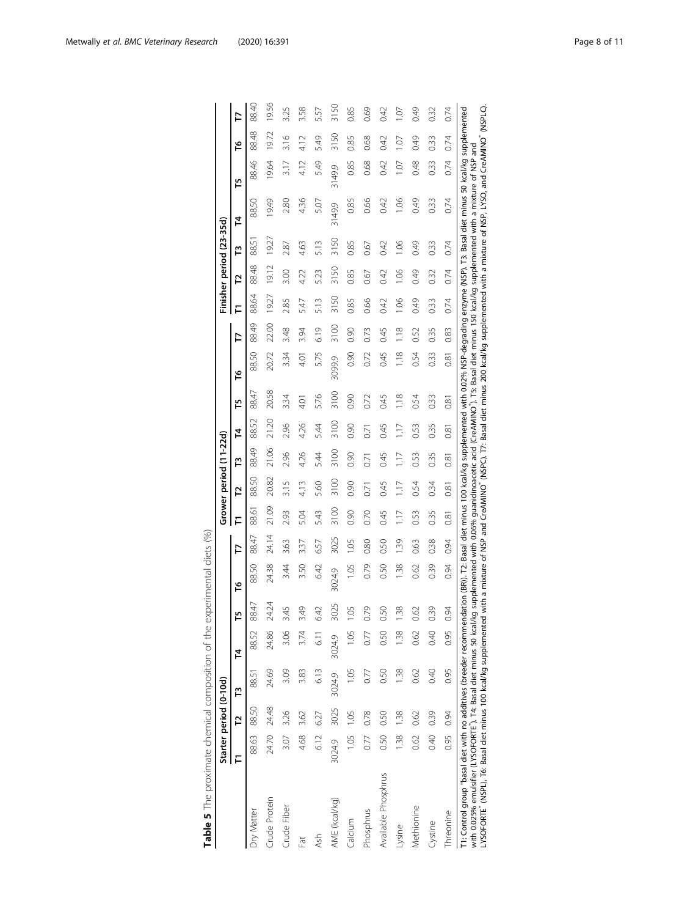<span id="page-7-0"></span>

|                                                                                                                                                                                                                                                                                                                                                                                                                                                                                                | Starter period (0-10d) |       |        |                |                          |                                                                                                                                            |       |                  | Grower period (11-22d) |                 |       |       |               |               |       |                   | Finisher period (23-35d) |        |        |         |                |
|------------------------------------------------------------------------------------------------------------------------------------------------------------------------------------------------------------------------------------------------------------------------------------------------------------------------------------------------------------------------------------------------------------------------------------------------------------------------------------------------|------------------------|-------|--------|----------------|--------------------------|--------------------------------------------------------------------------------------------------------------------------------------------|-------|------------------|------------------------|-----------------|-------|-------|---------------|---------------|-------|-------------------|--------------------------|--------|--------|---------|----------------|
|                                                                                                                                                                                                                                                                                                                                                                                                                                                                                                | Е                      | բ     | r      | 14             | ļη                       | ۴                                                                                                                                          | F     |                  | 5                      | Ë               | 14    | F     | ۴             | F             | Е     | L,                | Ë                        | 74     | F      | ٩       | F              |
| Dry Matter                                                                                                                                                                                                                                                                                                                                                                                                                                                                                     | 88.63                  | 88.50 | 88.51  | 88.52          | 88.47                    | 88.50                                                                                                                                      | 88.47 | 88.61            | 88.50                  | 88.49           | 88.52 | 88.47 | 88.50         | 88.49         | 88.64 | 88.48             | 88.51                    | 88.50  | 88.46  | 88.48   | 88.40          |
| Crude Protein                                                                                                                                                                                                                                                                                                                                                                                                                                                                                  | 24.70                  | 24.48 | 24.69  | 24.86          | 24.24                    | 24.38                                                                                                                                      | 24.14 | 21.09            | 20.82                  | 21.06           | 21.20 | 20.58 | 20.72         | 22.00         | 19.27 | 19.12             | 19.27                    | 9.49   | 19.64  | 19.72   | 19.56          |
| Crude Fiber                                                                                                                                                                                                                                                                                                                                                                                                                                                                                    | 3.07                   | 3.26  | 3.09   | 3.06           | 45                       | 3.44                                                                                                                                       | 3.63  | 293              | 3.15                   | 2.96            | 2.96  | 334   | 334           | 3.48          | 285   | $\frac{300}{200}$ | 2.87                     | 2.80   | 3.17   | 3.16    | 3.25           |
| Fat                                                                                                                                                                                                                                                                                                                                                                                                                                                                                            | 4.68                   | 3.62  | 3.83   | 3.74           | $\overline{4}$           | 3.50                                                                                                                                       | 337   | 5.04             | 4.13                   | 4.26            | 426   | 4.01  | 4.01          | 3.94          | 547   | 422               | 4.63                     | 4.36   | 4.12   | 4.12    | 3.58           |
| Ash                                                                                                                                                                                                                                                                                                                                                                                                                                                                                            | 6.12                   | 6.27  | 6.13   | 6.11           | $\overline{4}$           | 6.42                                                                                                                                       | 6.57  | 543              | 5.60                   | 5.44            | 5.44  | 5.76  | 5.75          | 6.19          | 5.13  | 5.23              | 5.13                     | 5.07   | 549    | 549     | 5.57           |
| AME (kcal/kq)                                                                                                                                                                                                                                                                                                                                                                                                                                                                                  | 3024.9                 | 3025  | 3024.9 | 3024.9         | 3025                     | 3024.9                                                                                                                                     | 3025  | 3100             | 3100                   | 3100            | 3100  | 3100  | 3099.9        | 3100          | 3150  | 3150              | 3150                     | 3149.9 | 3149.9 | 3150    | 3150           |
| Calcium                                                                                                                                                                                                                                                                                                                                                                                                                                                                                        | 1.05                   | 1.05  | 1.05   | 105            | 95                       | SO.                                                                                                                                        | SO.   | 0.90             | 0.90                   | 0.90            | 0.90  | 0.90  | 0.90          | 8.0           | 0.85  | 0.85              | 0.85                     | 0.85   | 0.85   | 0.85    | 0.85           |
| Phosphrus                                                                                                                                                                                                                                                                                                                                                                                                                                                                                      | 0.77                   | 0.78  | 0.77   | 0.77           | P.                       | 0.79                                                                                                                                       | 0.80  | 0.70             | 0.71                   | 0.71            | 5     | 0.72  | 0.72          | 0.73          | 0.66  | 0.67              | 0.67                     | 0.66   | 0.68   | 0.68    | 0.69           |
| Available Phosphrus                                                                                                                                                                                                                                                                                                                                                                                                                                                                            | 0.50                   | 0.50  | 0.50   | 0.50           | SO.                      | 0.50                                                                                                                                       | 0.50  | 0.45             | 0.45                   | 0.45            | 0.45  | 0.45  | 0.45          | 0.45          | 042   | 0.42              | 642                      | 0.42   | 0.42   | 042     | 0.42           |
| Lysine                                                                                                                                                                                                                                                                                                                                                                                                                                                                                         | 1.38                   | 1.38  | 1.38   | $\frac{38}{3}$ | 38.                      | 38                                                                                                                                         | 39    | E                | $\overline{11}$        | $\frac{17}{11}$ | 117   | 1.18  | $\frac{8}{1}$ | $\frac{8}{1}$ | 0.06  | $\frac{8}{100}$   | $\frac{8}{2}$            | 0.06   | S.     | $\odot$ | $\overline{0}$ |
| Methionine                                                                                                                                                                                                                                                                                                                                                                                                                                                                                     | 0.62                   | 0.62  | 0.62   | 0.62           | S <sub>2</sub>           | 0.62                                                                                                                                       | 0.63  | 0.53             | 0.54                   | 0.53            | 0.53  | 0.54  | 0.54          | 0.52          | 0.49  | 649               | 0.49                     | 0.49   | 0.48   | 0.49    | 649            |
| Cystine                                                                                                                                                                                                                                                                                                                                                                                                                                                                                        | 0.40                   | 0.39  | 0.40   | 0.40           | 39                       | 0.39                                                                                                                                       | 0.38  | 0.35             | 0.34                   | 0.35            | 0.35  | 0.33  | 0.33          | 0.35          | 0.33  | 0.32              | 0.33                     | 0.33   | 0.33   | 0.33    | 0.32           |
| Threonine                                                                                                                                                                                                                                                                                                                                                                                                                                                                                      | 0.95                   | 0.94  | 0.95   | 0.95           | $\overline{\mathcal{A}}$ | 0.94                                                                                                                                       | 0.94  | $\overline{0.8}$ | 0.81                   | 0.81            | 0.81  | 0.81  | 0.81          | 0.83          | 0.74  | 0.74              | 0.74                     | 0.74   | 0.74   | 0.74    | 0.74           |
| T1: Control group "basal diet with no additives (breeder recommendation (BR)). T2: Basal diet minus 100 kcal/kg supplemented with 0.02% NSP-degrading enzyme (NSP). T3: Basal diet minus 50 kcal/kg supplemented<br>with 0.025% emulsifier (LYSOFORTE ). T4: Basal diet minus 50 kcal/kg supplemented with 0.06% guanidinoacetic acid (CreAMINO ). T5: Basal diet minus 150 kcal/kg supplemented with a mixture of NSP and<br>LYSOFORTE" (NSPL), T6: Basal diet minus 100 kcal/kg supplemented |                        |       |        |                |                          | with a mixture of NSP and CreAMINO (NSPC). T7: Basal diet minus 200 kcal/kg supplemented with a mixture of NSP, LYSO, and CreAMINO (NSPLC) |       |                  |                        |                 |       |       |               |               |       |                   |                          |        |        |         |                |

| 7                                                               |  |
|-----------------------------------------------------------------|--|
|                                                                 |  |
|                                                                 |  |
| • E The provimate chamical composition of the experimental<br>Ì |  |
|                                                                 |  |
|                                                                 |  |
|                                                                 |  |
| ม<br>5                                                          |  |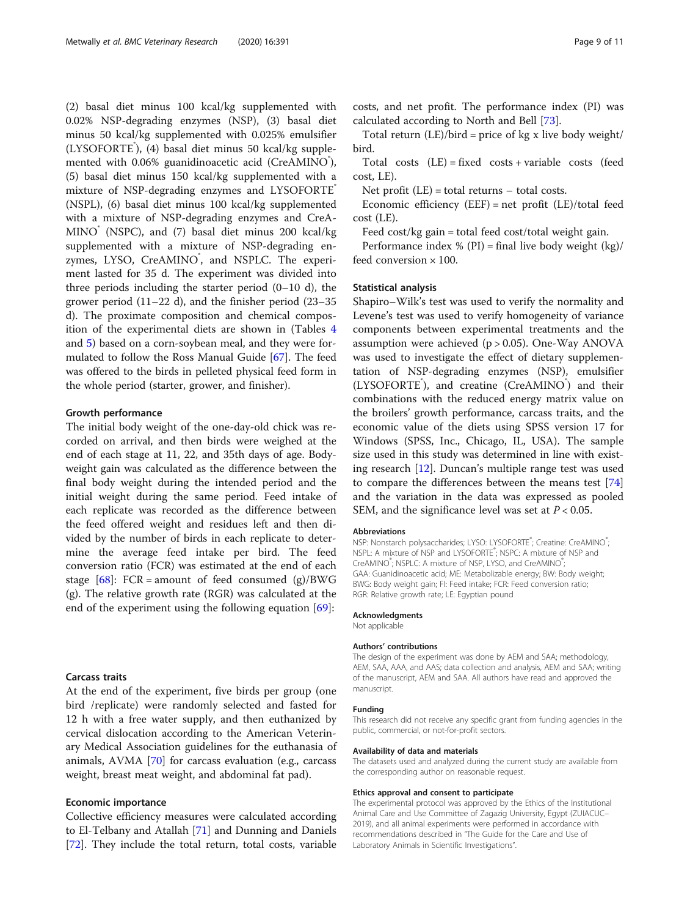(2) basal diet minus 100 kcal/kg supplemented with 0.02% NSP-degrading enzymes (NSP), (3) basal diet minus 50 kcal/kg supplemented with 0.025% emulsifier (LYSOFORTE<sup>®</sup>), (4) basal diet minus 50 kcal/kg supplemented with 0.06% guanidinoacetic acid (CreAMINO<sup>®</sup>), (5) basal diet minus 150 kcal/kg supplemented with a mixture of NSP-degrading enzymes and LYSOFORTE (NSPL), (6) basal diet minus 100 kcal/kg supplemented with a mixture of NSP-degrading enzymes and CreA-MINO® (NSPC), and (7) basal diet minus 200 kcal/kg supplemented with a mixture of NSP-degrading enzymes, LYSO, CreAMINO<sup>®</sup>, and NSPLC. The experiment lasted for 35 d. The experiment was divided into three periods including the starter period  $(0-10 d)$ , the grower period (11–22 d), and the finisher period (23–35 d). The proximate composition and chemical composition of the experimental diets are shown in (Tables [4](#page-6-0) and [5\)](#page-7-0) based on a corn-soybean meal, and they were formulated to follow the Ross Manual Guide [[67\]](#page-10-0). The feed was offered to the birds in pelleted physical feed form in the whole period (starter, grower, and finisher).

#### Growth performance

The initial body weight of the one-day-old chick was recorded on arrival, and then birds were weighed at the end of each stage at 11, 22, and 35th days of age. Bodyweight gain was calculated as the difference between the final body weight during the intended period and the initial weight during the same period. Feed intake of each replicate was recorded as the difference between the feed offered weight and residues left and then divided by the number of birds in each replicate to determine the average feed intake per bird. The feed conversion ratio (FCR) was estimated at the end of each stage  $[68]$  $[68]$  $[68]$ : FCR = amount of feed consumed  $(g)/BWG$ (g). The relative growth rate (RGR) was calculated at the end of the experiment using the following equation [\[69](#page-10-0)]:

#### Carcass traits

At the end of the experiment, five birds per group (one bird /replicate) were randomly selected and fasted for 12 h with a free water supply, and then euthanized by cervical dislocation according to the American Veterinary Medical Association guidelines for the euthanasia of animals, AVMA [\[70\]](#page-10-0) for carcass evaluation (e.g., carcass weight, breast meat weight, and abdominal fat pad).

# Economic importance

Collective efficiency measures were calculated according to El-Telbany and Atallah [\[71\]](#page-10-0) and Dunning and Daniels [[72\]](#page-10-0). They include the total return, total costs, variable costs, and net profit. The performance index (PI) was calculated according to North and Bell [[73](#page-10-0)].

Total return  $(LE)/bird = price$  of kg x live body weight/ bird.

Total costs  $(LE) = fixed \ \cos t + variable \ \ \cos t$  (feed cost, LE).

Net profit  $(LE)$  = total returns – total costs.

Economic efficiency (EEF) = net profit (LE)/total feed cost (LE).

Feed cost/kg gain = total feed cost/total weight gain.

Performance index % (PI) = final live body weight  $(kg)/$ feed conversion  $\times$  100.

## Statistical analysis

Shapiro–Wilk's test was used to verify the normality and Levene's test was used to verify homogeneity of variance components between experimental treatments and the assumption were achieved  $(p > 0.05)$ . One-Way ANOVA was used to investigate the effect of dietary supplementation of NSP-degrading enzymes (NSP), emulsifier (LYSOFORTE<sup>®</sup>), and creatine (CreAMINO<sup>®</sup>) and their combinations with the reduced energy matrix value on the broilers' growth performance, carcass traits, and the economic value of the diets using SPSS version 17 for Windows (SPSS, Inc., Chicago, IL, USA). The sample size used in this study was determined in line with existing research [\[12\]](#page-9-0). Duncan's multiple range test was used to compare the differences between the means test [[74](#page-10-0)] and the variation in the data was expressed as pooled SEM, and the significance level was set at  $P < 0.05$ .

#### Abbreviations

NSP: Nonstarch polysaccharides; LYSO: LYSOFORTE®; Creatine: CreAMINO® ; NSPL: A mixture of NSP and LYSOFORTE®; NSPC: A mixture of NSP and CreAMINO®; NSPLC: A mixture of NSP, LYSO, and CreAMINO® ; GAA: Guanidinoacetic acid; ME: Metabolizable energy; BW: Body weight; BWG: Body weight gain; FI: Feed intake; FCR: Feed conversion ratio; RGR: Relative growth rate; LE: Egyptian pound

#### Acknowledgments

Not applicable

#### Authors' contributions

The design of the experiment was done by AEM and SAA; methodology, AEM, SAA, AAA, and AAS; data collection and analysis, AEM and SAA; writing of the manuscript, AEM and SAA. All authors have read and approved the manuscript.

#### Funding

This research did not receive any specific grant from funding agencies in the public, commercial, or not-for-profit sectors.

#### Availability of data and materials

The datasets used and analyzed during the current study are available from the corresponding author on reasonable request.

#### Ethics approval and consent to participate

The experimental protocol was approved by the Ethics of the Institutional Animal Care and Use Committee of Zagazig University, Egypt (ZUIACUC– 2019), and all animal experiments were performed in accordance with recommendations described in "The Guide for the Care and Use of Laboratory Animals in Scientific Investigations".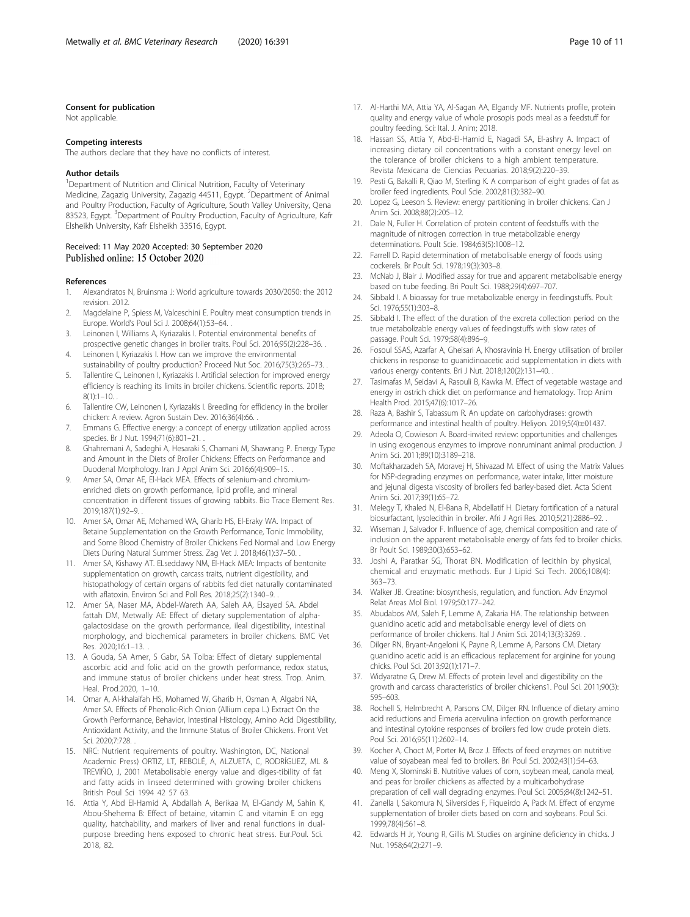#### <span id="page-9-0"></span>Consent for publication

Not applicable.

#### Competing interests

The authors declare that they have no conflicts of interest.

#### Author details

<sup>1</sup>Department of Nutrition and Clinical Nutrition, Faculty of Veterinary Medicine, Zagazig University, Zagazig 44511, Egypt. <sup>2</sup>Department of Animal and Poultry Production, Faculty of Agriculture, South Valley University, Qena 83523, Egypt. <sup>3</sup>Department of Poultry Production, Faculty of Agriculture, Kafr Elsheikh University, Kafr Elsheikh 33516, Egypt.

# Received: 11 May 2020 Accepted: 30 September 2020 Published online: 15 October 2020

#### References

- 1. Alexandratos N, Bruinsma J: World agriculture towards 2030/2050: the 2012 revision. 2012.
- 2. Magdelaine P, Spiess M, Valceschini E. Poultry meat consumption trends in Europe. World's Poul Sci J. 2008;64(1):53–64. .
- 3. Leinonen I, Williams A, Kyriazakis I. Potential environmental benefits of prospective genetic changes in broiler traits. Poul Sci. 2016;95(2):228–36. .
- 4. Leinonen I, Kyriazakis I. How can we improve the environmental sustainability of poultry production? Proceed Nut Soc. 2016;75(3):265–73. .
- 5. Tallentire C, Leinonen I, Kyriazakis I. Artificial selection for improved energy efficiency is reaching its limits in broiler chickens. Scientific reports. 2018;  $8(1):1-10.$
- 6. Tallentire CW, Leinonen I, Kyriazakis I. Breeding for efficiency in the broiler chicken: A review. Agron Sustain Dev. 2016;36(4):66. .
- 7. Emmans G. Effective energy: a concept of energy utilization applied across species. Br J Nut. 1994;71(6):801–21. .
- 8. Ghahremani A, Sadeghi A, Hesaraki S, Chamani M, Shawrang P. Energy Type and Amount in the Diets of Broiler Chickens: Effects on Performance and Duodenal Morphology. Iran J Appl Anim Sci. 2016;6(4):909–15. .
- 9. Amer SA, Omar AE, El-Hack MEA. Effects of selenium-and chromiumenriched diets on growth performance, lipid profile, and mineral concentration in different tissues of growing rabbits. Bio Trace Element Res. 2019;187(1):92–9. .
- 10. Amer SA, Omar AE, Mohamed WA, Gharib HS, El-Eraky WA. Impact of Betaine Supplementation on the Growth Performance, Tonic Immobility, and Some Blood Chemistry of Broiler Chickens Fed Normal and Low Energy Diets During Natural Summer Stress. Zag Vet J. 2018;46(1):37–50. .
- 11. Amer SA, Kishawy AT. ELseddawy NM, El-Hack MEA: Impacts of bentonite supplementation on growth, carcass traits, nutrient digestibility, and histopathology of certain organs of rabbits fed diet naturally contaminated with aflatoxin. Environ Sci and Poll Res. 2018;25(2):1340-9.
- 12. Amer SA, Naser MA, Abdel-Wareth AA, Saleh AA, Elsayed SA. Abdel fattah DM, Metwally AE: Effect of dietary supplementation of alphagalactosidase on the growth performance, ileal digestibility, intestinal morphology, and biochemical parameters in broiler chickens. BMC Vet Res. 2020;16:1–13. .
- 13. A Gouda, SA Amer, S Gabr, SA Tolba: Effect of dietary supplemental ascorbic acid and folic acid on the growth performance, redox status, and immune status of broiler chickens under heat stress. Trop. Anim. Heal. Prod.2020, 1–10.
- 14. Omar A, Al-khalaifah HS, Mohamed W, Gharib H, Osman A, Algabri NA, Amer SA. Effects of Phenolic-Rich Onion (Allium cepa L.) Extract On the Growth Performance, Behavior, Intestinal Histology, Amino Acid Digestibility, Antioxidant Activity, and the Immune Status of Broiler Chickens. Front Vet Sci. 2020:7:728.
- 15. NRC: Nutrient requirements of poultry. Washington, DC, National Academic Press) ORTIZ, LT, REBOLÉ, A, ALZUETA, C, RODRÍGUEZ, ML & TREVIÑO, J, 2001 Metabolisable energy value and diges-tibility of fat and fatty acids in linseed determined with growing broiler chickens British Poul Sci 1994 42 57 63.
- 16. Attia Y, Abd El-Hamid A, Abdallah A, Berikaa M, El-Gandy M, Sahin K, Abou-Shehema B: Effect of betaine, vitamin C and vitamin E on egg quality, hatchability, and markers of liver and renal functions in dualpurpose breeding hens exposed to chronic heat stress. Eur.Poul. Sci. 2018, 82.
- 17. Al-Harthi MA, Attia YA, Al-Sagan AA, Elgandy MF. Nutrients profile, protein quality and energy value of whole prosopis pods meal as a feedstuff for poultry feeding. Sci: Ital. J. Anim; 2018.
- 18. Hassan SS, Attia Y, Abd-El-Hamid E, Nagadi SA, El-ashry A. Impact of increasing dietary oil concentrations with a constant energy level on the tolerance of broiler chickens to a high ambient temperature. Revista Mexicana de Ciencias Pecuarias. 2018;9(2):220–39.
- 19. Pesti G, Bakalli R, Qiao M, Sterling K. A comparison of eight grades of fat as broiler feed ingredients. Poul Scie. 2002;81(3):382–90.
- 20. Lopez G, Leeson S. Review: energy partitioning in broiler chickens. Can J Anim Sci. 2008;88(2):205–12.
- 21. Dale N, Fuller H. Correlation of protein content of feedstuffs with the magnitude of nitrogen correction in true metabolizable energy determinations. Poult Scie. 1984;63(5):1008–12.
- 22. Farrell D. Rapid determination of metabolisable energy of foods using cockerels. Br Poult Sci. 1978;19(3):303–8.
- 23. McNab J, Blair J. Modified assay for true and apparent metabolisable energy based on tube feeding. Bri Poult Sci. 1988;29(4):697–707.
- 24. Sibbald I. A bioassay for true metabolizable energy in feedingstuffs. Poult Sci. 1976;55(1):303–8.
- 25. Sibbald I. The effect of the duration of the excreta collection period on the true metabolizable energy values of feedingstuffs with slow rates of passage. Poult Sci. 1979;58(4):896–9.
- 26. Fosoul SSAS, Azarfar A, Gheisari A, Khosravinia H. Energy utilisation of broiler chickens in response to guanidinoacetic acid supplementation in diets with various energy contents. Bri J Nut. 2018;120(2):131–40. .
- 27. Tasirnafas M, Seidavi A, Rasouli B, Kawka M. Effect of vegetable wastage and energy in ostrich chick diet on performance and hematology. Trop Anim Health Prod. 2015;47(6):1017–26.
- 28. Raza A, Bashir S, Tabassum R. An update on carbohydrases: growth performance and intestinal health of poultry. Heliyon. 2019;5(4):e01437.
- 29. Adeola O, Cowieson A. Board-invited review: opportunities and challenges in using exogenous enzymes to improve nonruminant animal production. J Anim Sci. 2011;89(10):3189–218.
- 30. Moftakharzadeh SA, Moravej H, Shivazad M. Effect of using the Matrix Values for NSP-degrading enzymes on performance, water intake, litter moisture and jejunal digesta viscosity of broilers fed barley-based diet. Acta Scient Anim Sci. 2017;39(1):65–72.
- 31. Melegy T, Khaled N, El-Bana R, Abdellatif H. Dietary fortification of a natural biosurfactant, lysolecithin in broiler. Afri J Agri Res. 2010;5(21):2886–92. .
- 32. Wiseman J, Salvador F. Influence of age, chemical composition and rate of inclusion on the apparent metabolisable energy of fats fed to broiler chicks. Br Poult Sci. 1989;30(3):653–62.
- 33. Joshi A, Paratkar SG, Thorat BN. Modification of lecithin by physical, chemical and enzymatic methods. Eur J Lipid Sci Tech. 2006;108(4): 363–73.
- 34. Walker JB. Creatine: biosynthesis, regulation, and function. Adv Enzymol Relat Areas Mol Biol. 1979;50:177–242.
- 35. Abudabos AM, Saleh F, Lemme A, Zakaria HA. The relationship between guanidino acetic acid and metabolisable energy level of diets on performance of broiler chickens. Ital J Anim Sci. 2014;13(3):3269.
- 36. Dilger RN, Bryant-Angeloni K, Payne R, Lemme A, Parsons CM. Dietary guanidino acetic acid is an efficacious replacement for arginine for young chicks. Poul Sci. 2013;92(1):171–7.
- 37. Widyaratne G, Drew M. Effects of protein level and digestibility on the growth and carcass characteristics of broiler chickens1. Poul Sci. 2011;90(3): 595–603.
- 38. Rochell S, Helmbrecht A, Parsons CM, Dilger RN. Influence of dietary amino acid reductions and Eimeria acervulina infection on growth performance and intestinal cytokine responses of broilers fed low crude protein diets. Poul Sci. 2016;95(11):2602–14.
- 39. Kocher A, Choct M, Porter M, Broz J. Effects of feed enzymes on nutritive value of soyabean meal fed to broilers. Bri Poul Sci. 2002;43(1):54–63.
- 40. Meng X, Slominski B. Nutritive values of corn, soybean meal, canola meal, and peas for broiler chickens as affected by a multicarbohydrase preparation of cell wall degrading enzymes. Poul Sci. 2005;84(8):1242–51.
- 41. Zanella I, Sakomura N, Silversides F, Fiqueirdo A, Pack M. Effect of enzyme supplementation of broiler diets based on corn and soybeans. Poul Sci. 1999;78(4):561–8.
- 42. Edwards H Jr, Young R, Gillis M. Studies on arginine deficiency in chicks. J Nut. 1958;64(2):271–9.